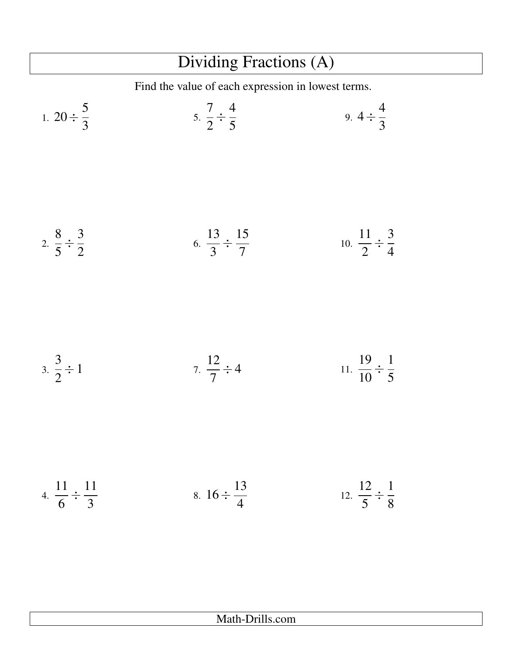## Dividing Fractions (A)

Find the value of each expression in lowest terms.

1. 
$$
20 \div \frac{5}{3}
$$
  
\n3.  $\frac{8}{2} \div \frac{3}{2}$   
\n4.  $\frac{11}{6} \div \frac{11}{3}$   
\n5.  $\frac{7}{2} \div \frac{4}{5}$   
\n6.  $\frac{13}{3} \div \frac{15}{7}$   
\n7.  $\frac{12}{7} \div 4$   
\n8.  $16 \div \frac{13}{4}$   
\n9.  $4 \div \frac{4}{3}$   
\n10.  $\frac{11}{2} \div \frac{3}{4}$   
\n11.  $\frac{19}{10} \div \frac{1}{5}$   
\n12.  $\frac{12}{5} \div \frac{11}{8}$